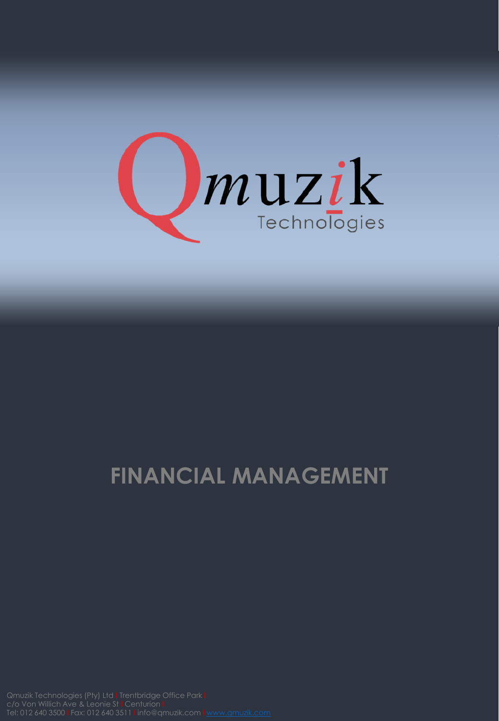

# **FINANCIAL MANAGEMENT**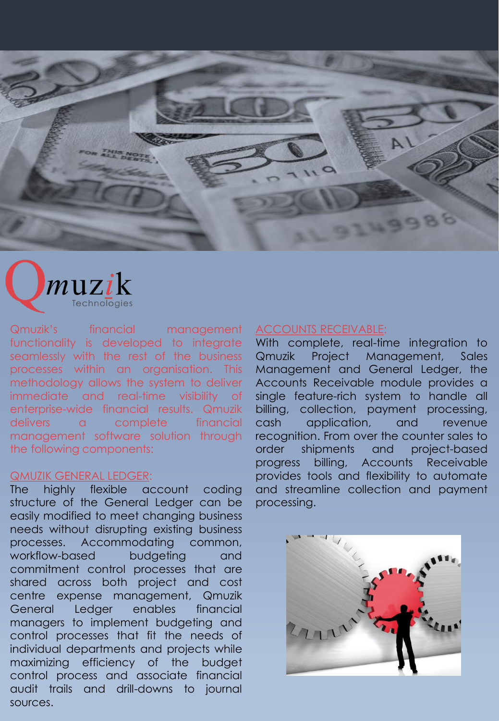



Qmuzik's financial management functionality is developed to integrate seamlessly with the rest of the business processes within an organisation. This methodology allows the system to deliver immediate and real-time visibility of enterprise-wide financial results. Qmuzik delivers a complete financial management software solution through the following components:

# QMUZIK GENERAL LEDGER:

The highly flexible account coding structure of the General Ledger can be easily modified to meet changing business needs without disrupting existing business processes. Accommodating common, workflow-based budgeting and commitment control processes that are shared across both project and cost centre expense management, Qmuzik General Ledger enables financial managers to implement budgeting and control processes that fit the needs of individual departments and projects while maximizing efficiency of the budget control process and associate financial audit trails and drill-downs to journal sources.

### ACCOUNTS RECEIVABLE:

With complete, real-time integration to Qmuzik Project Management, Sales Management and General Ledger, the Accounts Receivable module provides a single feature-rich system to handle all billing, collection, payment processing, cash application, and revenue recognition. From over the counter sales to order shipments and project-based progress billing, Accounts Receivable provides tools and flexibility to automate and streamline collection and payment processing.

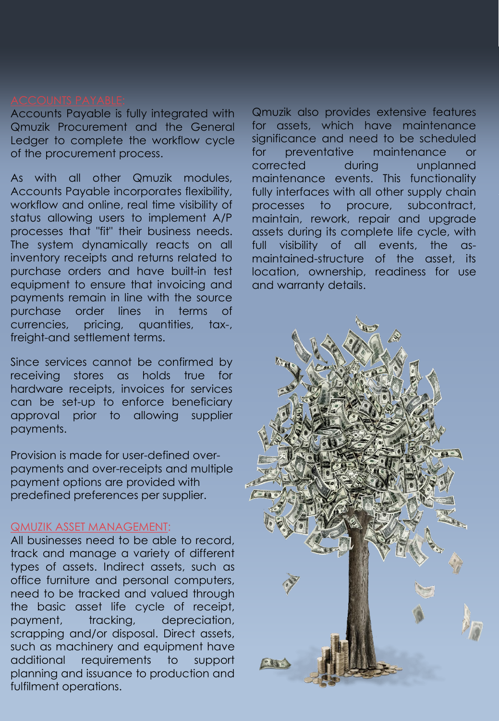Accounts Payable is fully integrated with Qmuzik Procurement and the General Ledger to complete the workflow cycle of the procurement process.

As with all other Qmuzik modules, Accounts Payable incorporates flexibility, workflow and online, real time visibility of status allowing users to implement A/P processes that "fit" their business needs. The system dynamically reacts on all inventory receipts and returns related to purchase orders and have built-in test equipment to ensure that invoicing and payments remain in line with the source purchase order lines in terms of currencies, pricing, quantities, tax-, freight-and settlement terms.

Since services cannot be confirmed by receiving stores as holds true for hardware receipts, invoices for services can be set-up to enforce beneficiary approval prior to allowing supplier payments.

Provision is made for user-defined overpayments and over-receipts and multiple payment options are provided with predefined preferences per supplier.

# QMUZIK ASSET MANAGEMENT:

All businesses need to be able to record, track and manage a variety of different types of assets. Indirect assets, such as office furniture and personal computers, need to be tracked and valued through the basic asset life cycle of receipt, payment, tracking, depreciation, scrapping and/or disposal. Direct assets, such as machinery and equipment have additional requirements to support planning and issuance to production and fulfilment operations.

Qmuzik also provides extensive features for assets, which have maintenance significance and need to be scheduled for preventative maintenance or corrected during unplanned maintenance events. This functionality fully interfaces with all other supply chain processes to procure, subcontract, maintain, rework, repair and upgrade assets during its complete life cycle, with full visibility of all events, the asmaintained-structure of the asset, its location, ownership, readiness for use and warranty details.